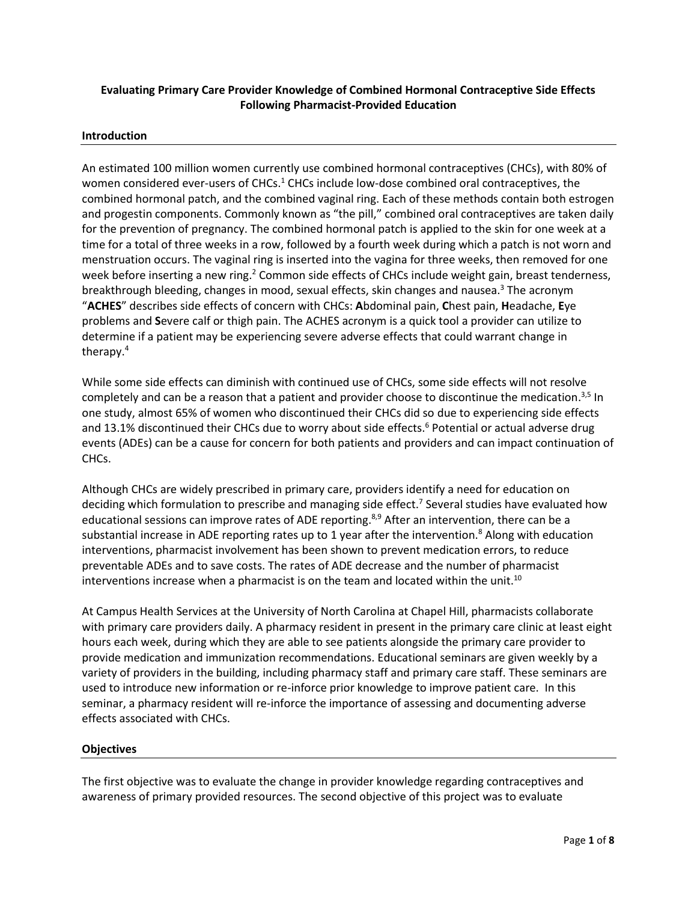# **Evaluating Primary Care Provider Knowledge of Combined Hormonal Contraceptive Side Effects Following Pharmacist-Provided Education**

### **Introduction**

An estimated 100 million women currently use combined hormonal contraceptives (CHCs), with 80% of women considered ever-users of CHCs.<sup>1</sup> CHCs include low-dose combined oral contraceptives, the combined hormonal patch, and the combined vaginal ring. Each of these methods contain both estrogen and progestin components. Commonly known as "the pill," combined oral contraceptives are taken daily for the prevention of pregnancy. The combined hormonal patch is applied to the skin for one week at a time for a total of three weeks in a row, followed by a fourth week during which a patch is not worn and menstruation occurs. The vaginal ring is inserted into the vagina for three weeks, then removed for one week before inserting a new ring.<sup>2</sup> Common side effects of CHCs include weight gain, breast tenderness, breakthrough bleeding, changes in mood, sexual effects, skin changes and nausea. <sup>3</sup> The acronym "**ACHES**" describes side effects of concern with CHCs: **A**bdominal pain, **C**hest pain, **H**eadache, **E**ye problems and **S**evere calf or thigh pain. The ACHES acronym is a quick tool a provider can utilize to determine if a patient may be experiencing severe adverse effects that could warrant change in therapy. 4

While some side effects can diminish with continued use of CHCs, some side effects will not resolve completely and can be a reason that a patient and provider choose to discontinue the medication.<sup>3,5</sup> In one study, almost 65% of women who discontinued their CHCs did so due to experiencing side effects and 13.1% discontinued their CHCs due to worry about side effects. <sup>6</sup> Potential or actual adverse drug events (ADEs) can be a cause for concern for both patients and providers and can impact continuation of CHCs.

Although CHCs are widely prescribed in primary care, providers identify a need for education on deciding which formulation to prescribe and managing side effect.<sup>7</sup> Several studies have evaluated how educational sessions can improve rates of ADE reporting.<sup>8,9</sup> After an intervention, there can be a substantial increase in ADE reporting rates up to 1 year after the intervention.<sup>8</sup> Along with education interventions, pharmacist involvement has been shown to prevent medication errors, to reduce preventable ADEs and to save costs. The rates of ADE decrease and the number of pharmacist interventions increase when a pharmacist is on the team and located within the unit.<sup>10</sup>

At Campus Health Services at the University of North Carolina at Chapel Hill, pharmacists collaborate with primary care providers daily. A pharmacy resident in present in the primary care clinic at least eight hours each week, during which they are able to see patients alongside the primary care provider to provide medication and immunization recommendations. Educational seminars are given weekly by a variety of providers in the building, including pharmacy staff and primary care staff. These seminars are used to introduce new information or re-inforce prior knowledge to improve patient care. In this seminar, a pharmacy resident will re-inforce the importance of assessing and documenting adverse effects associated with CHCs.

### **Objectives**

The first objective was to evaluate the change in provider knowledge regarding contraceptives and awareness of primary provided resources. The second objective of this project was to evaluate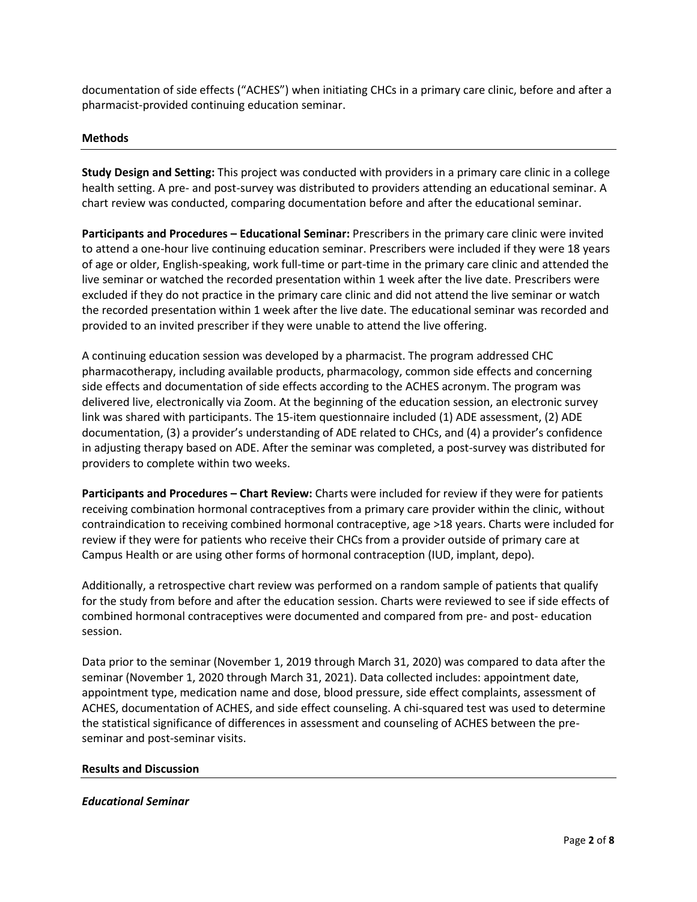documentation of side effects ("ACHES") when initiating CHCs in a primary care clinic, before and after a pharmacist-provided continuing education seminar.

### **Methods**

**Study Design and Setting:** This project was conducted with providers in a primary care clinic in a college health setting. A pre- and post-survey was distributed to providers attending an educational seminar. A chart review was conducted, comparing documentation before and after the educational seminar.

**Participants and Procedures – Educational Seminar:** Prescribers in the primary care clinic were invited to attend a one-hour live continuing education seminar. Prescribers were included if they were 18 years of age or older, English-speaking, work full-time or part-time in the primary care clinic and attended the live seminar or watched the recorded presentation within 1 week after the live date. Prescribers were excluded if they do not practice in the primary care clinic and did not attend the live seminar or watch the recorded presentation within 1 week after the live date. The educational seminar was recorded and provided to an invited prescriber if they were unable to attend the live offering.

A continuing education session was developed by a pharmacist. The program addressed CHC pharmacotherapy, including available products, pharmacology, common side effects and concerning side effects and documentation of side effects according to the ACHES acronym. The program was delivered live, electronically via Zoom. At the beginning of the education session, an electronic survey link was shared with participants. The 15-item questionnaire included (1) ADE assessment, (2) ADE documentation, (3) a provider's understanding of ADE related to CHCs, and (4) a provider's confidence in adjusting therapy based on ADE. After the seminar was completed, a post-survey was distributed for providers to complete within two weeks.

**Participants and Procedures – Chart Review:** Charts were included for review if they were for patients receiving combination hormonal contraceptives from a primary care provider within the clinic, without contraindication to receiving combined hormonal contraceptive, age >18 years. Charts were included for review if they were for patients who receive their CHCs from a provider outside of primary care at Campus Health or are using other forms of hormonal contraception (IUD, implant, depo).

Additionally, a retrospective chart review was performed on a random sample of patients that qualify for the study from before and after the education session. Charts were reviewed to see if side effects of combined hormonal contraceptives were documented and compared from pre- and post- education session.

Data prior to the seminar (November 1, 2019 through March 31, 2020) was compared to data after the seminar (November 1, 2020 through March 31, 2021). Data collected includes: appointment date, appointment type, medication name and dose, blood pressure, side effect complaints, assessment of ACHES, documentation of ACHES, and side effect counseling. A chi-squared test was used to determine the statistical significance of differences in assessment and counseling of ACHES between the preseminar and post-seminar visits.

### **Results and Discussion**

### *Educational Seminar*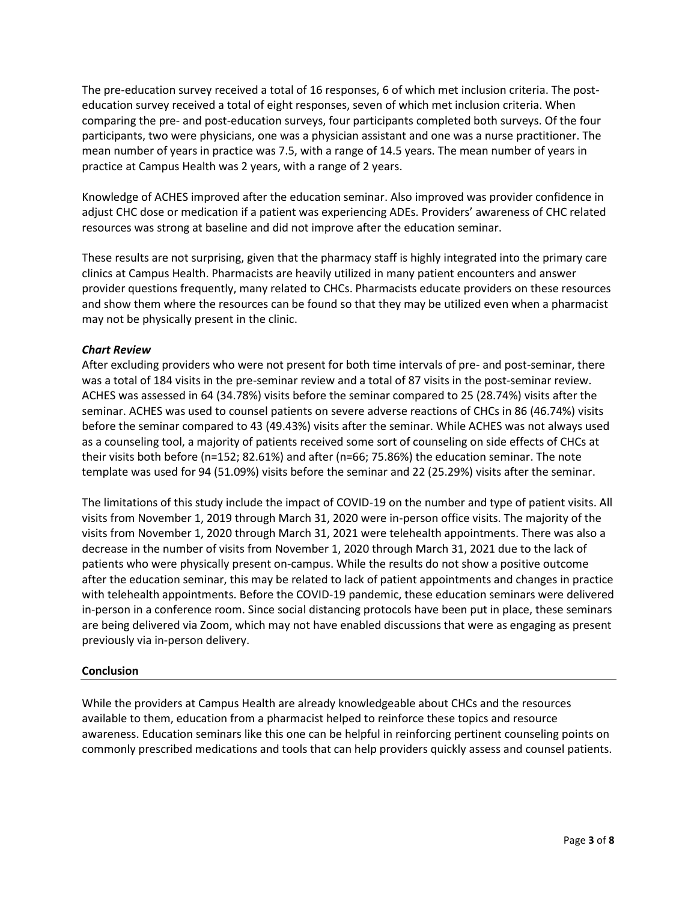The pre-education survey received a total of 16 responses, 6 of which met inclusion criteria. The posteducation survey received a total of eight responses, seven of which met inclusion criteria. When comparing the pre- and post-education surveys, four participants completed both surveys. Of the four participants, two were physicians, one was a physician assistant and one was a nurse practitioner. The mean number of years in practice was 7.5, with a range of 14.5 years. The mean number of years in practice at Campus Health was 2 years, with a range of 2 years.

Knowledge of ACHES improved after the education seminar. Also improved was provider confidence in adjust CHC dose or medication if a patient was experiencing ADEs. Providers' awareness of CHC related resources was strong at baseline and did not improve after the education seminar.

These results are not surprising, given that the pharmacy staff is highly integrated into the primary care clinics at Campus Health. Pharmacists are heavily utilized in many patient encounters and answer provider questions frequently, many related to CHCs. Pharmacists educate providers on these resources and show them where the resources can be found so that they may be utilized even when a pharmacist may not be physically present in the clinic.

# *Chart Review*

After excluding providers who were not present for both time intervals of pre- and post-seminar, there was a total of 184 visits in the pre-seminar review and a total of 87 visits in the post-seminar review. ACHES was assessed in 64 (34.78%) visits before the seminar compared to 25 (28.74%) visits after the seminar. ACHES was used to counsel patients on severe adverse reactions of CHCs in 86 (46.74%) visits before the seminar compared to 43 (49.43%) visits after the seminar. While ACHES was not always used as a counseling tool, a majority of patients received some sort of counseling on side effects of CHCs at their visits both before (n=152; 82.61%) and after (n=66; 75.86%) the education seminar. The note template was used for 94 (51.09%) visits before the seminar and 22 (25.29%) visits after the seminar.

The limitations of this study include the impact of COVID-19 on the number and type of patient visits. All visits from November 1, 2019 through March 31, 2020 were in-person office visits. The majority of the visits from November 1, 2020 through March 31, 2021 were telehealth appointments. There was also a decrease in the number of visits from November 1, 2020 through March 31, 2021 due to the lack of patients who were physically present on-campus. While the results do not show a positive outcome after the education seminar, this may be related to lack of patient appointments and changes in practice with telehealth appointments. Before the COVID-19 pandemic, these education seminars were delivered in-person in a conference room. Since social distancing protocols have been put in place, these seminars are being delivered via Zoom, which may not have enabled discussions that were as engaging as present previously via in-person delivery.

# **Conclusion**

While the providers at Campus Health are already knowledgeable about CHCs and the resources available to them, education from a pharmacist helped to reinforce these topics and resource awareness. Education seminars like this one can be helpful in reinforcing pertinent counseling points on commonly prescribed medications and tools that can help providers quickly assess and counsel patients.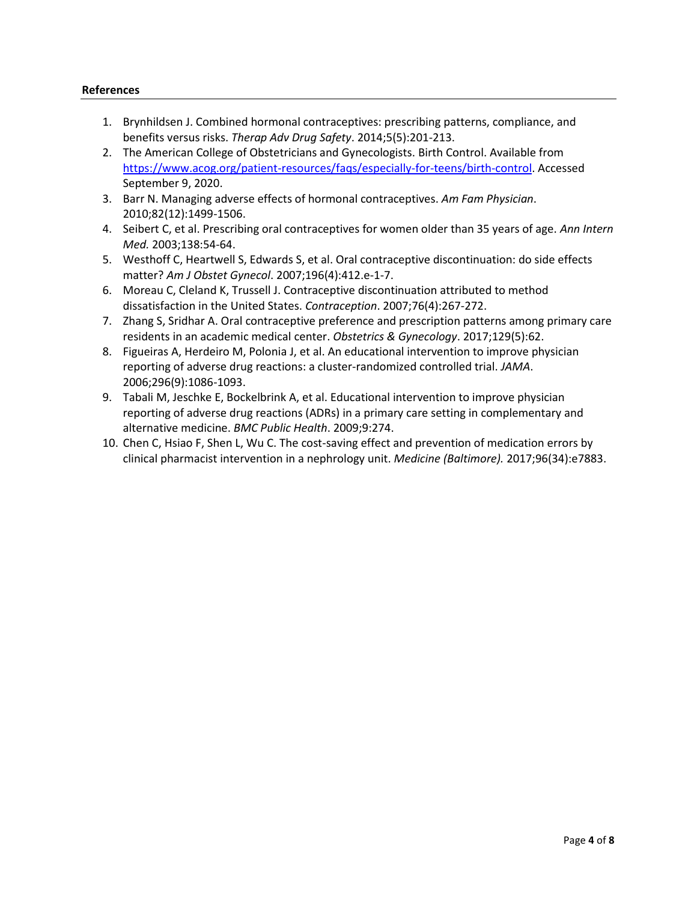### **References**

- 1. Brynhildsen J. Combined hormonal contraceptives: prescribing patterns, compliance, and benefits versus risks. *Therap Adv Drug Safety*. 2014;5(5):201-213.
- 2. The American College of Obstetricians and Gynecologists. Birth Control. Available from [https://www.acog.org/patient-resources/faqs/especially-for-teens/birth-control.](https://www.acog.org/patient-resources/faqs/especially-for-teens/birth-control) Accessed September 9, 2020.
- 3. Barr N. Managing adverse effects of hormonal contraceptives. *Am Fam Physician*. 2010;82(12):1499-1506.
- 4. Seibert C, et al. Prescribing oral contraceptives for women older than 35 years of age. *Ann Intern Med.* 2003;138:54-64.
- 5. Westhoff C, Heartwell S, Edwards S, et al. Oral contraceptive discontinuation: do side effects matter? *Am J Obstet Gynecol*. 2007;196(4):412.e-1-7.
- 6. Moreau C, Cleland K, Trussell J. Contraceptive discontinuation attributed to method dissatisfaction in the United States. *Contraception*. 2007;76(4):267-272.
- 7. Zhang S, Sridhar A. Oral contraceptive preference and prescription patterns among primary care residents in an academic medical center. *Obstetrics & Gynecology*. 2017;129(5):62.
- 8. Figueiras A, Herdeiro M, Polonia J, et al. An educational intervention to improve physician reporting of adverse drug reactions: a cluster-randomized controlled trial. *JAMA*. 2006;296(9):1086-1093.
- 9. Tabali M, Jeschke E, Bockelbrink A, et al. Educational intervention to improve physician reporting of adverse drug reactions (ADRs) in a primary care setting in complementary and alternative medicine. *BMC Public Health*. 2009;9:274.
- 10. Chen C, Hsiao F, Shen L, Wu C. The cost-saving effect and prevention of medication errors by clinical pharmacist intervention in a nephrology unit. *Medicine (Baltimore).* 2017;96(34):e7883.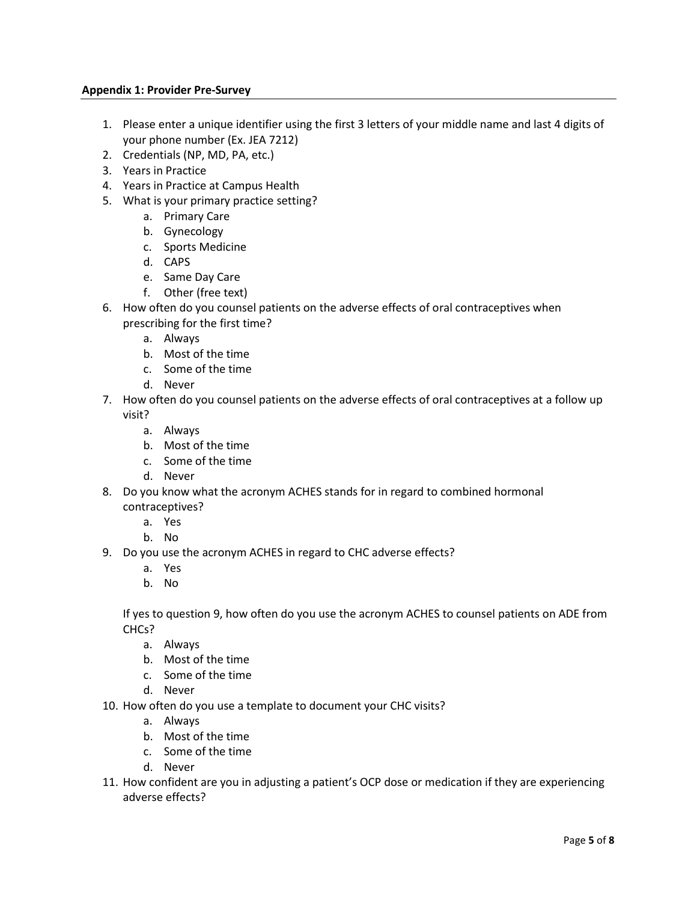### **Appendix 1: Provider Pre-Survey**

- 1. Please enter a unique identifier using the first 3 letters of your middle name and last 4 digits of your phone number (Ex. JEA 7212)
- 2. Credentials (NP, MD, PA, etc.)
- 3. Years in Practice
- 4. Years in Practice at Campus Health
- 5. What is your primary practice setting?
	- a. Primary Care
	- b. Gynecology
	- c. Sports Medicine
	- d. CAPS
	- e. Same Day Care
	- f. Other (free text)
- 6. How often do you counsel patients on the adverse effects of oral contraceptives when prescribing for the first time?
	- a. Always
	- b. Most of the time
	- c. Some of the time
	- d. Never
- 7. How often do you counsel patients on the adverse effects of oral contraceptives at a follow up visit?
	- a. Always
		- b. Most of the time
		- c. Some of the time
		- d. Never
- 8. Do you know what the acronym ACHES stands for in regard to combined hormonal contraceptives?
	- a. Yes
	- b. No
- 9. Do you use the acronym ACHES in regard to CHC adverse effects?
	- a. Yes
	- b. No

If yes to question 9, how often do you use the acronym ACHES to counsel patients on ADE from CHCs?

- a. Always
- b. Most of the time
- c. Some of the time
- d. Never
- 10. How often do you use a template to document your CHC visits?
	- a. Always
	- b. Most of the time
	- c. Some of the time
	- d. Never
- 11. How confident are you in adjusting a patient's OCP dose or medication if they are experiencing adverse effects?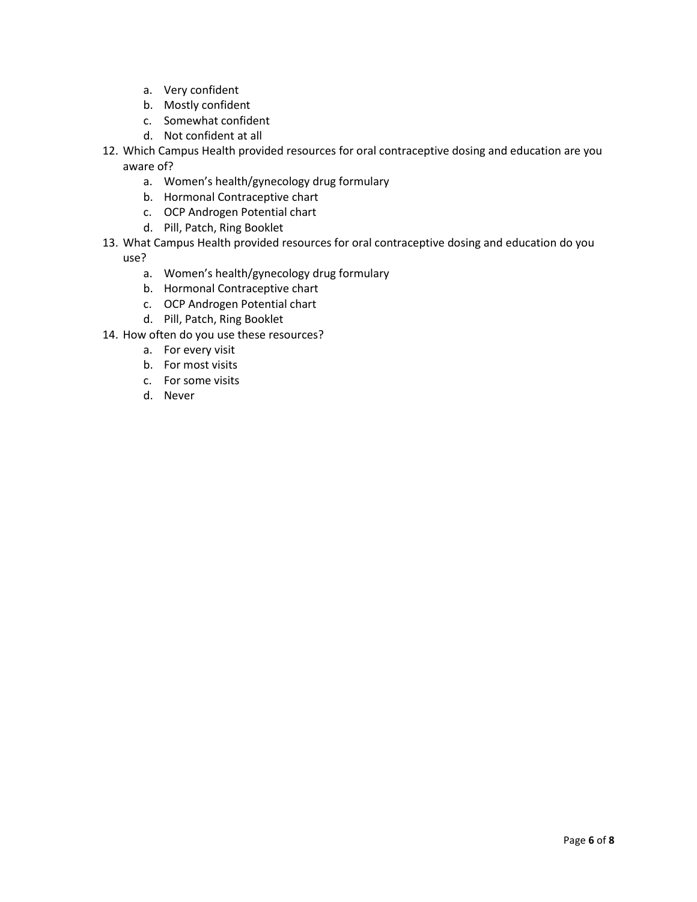- a. Very confident
- b. Mostly confident
- c. Somewhat confident
- d. Not confident at all
- 12. Which Campus Health provided resources for oral contraceptive dosing and education are you aware of?
	- a. Women's health/gynecology drug formulary
	- b. Hormonal Contraceptive chart
	- c. OCP Androgen Potential chart
	- d. Pill, Patch, Ring Booklet
- 13. What Campus Health provided resources for oral contraceptive dosing and education do you use?
	- a. Women's health/gynecology drug formulary
	- b. Hormonal Contraceptive chart
	- c. OCP Androgen Potential chart
	- d. Pill, Patch, Ring Booklet
- 14. How often do you use these resources?
	- a. For every visit
	- b. For most visits
	- c. For some visits
	- d. Never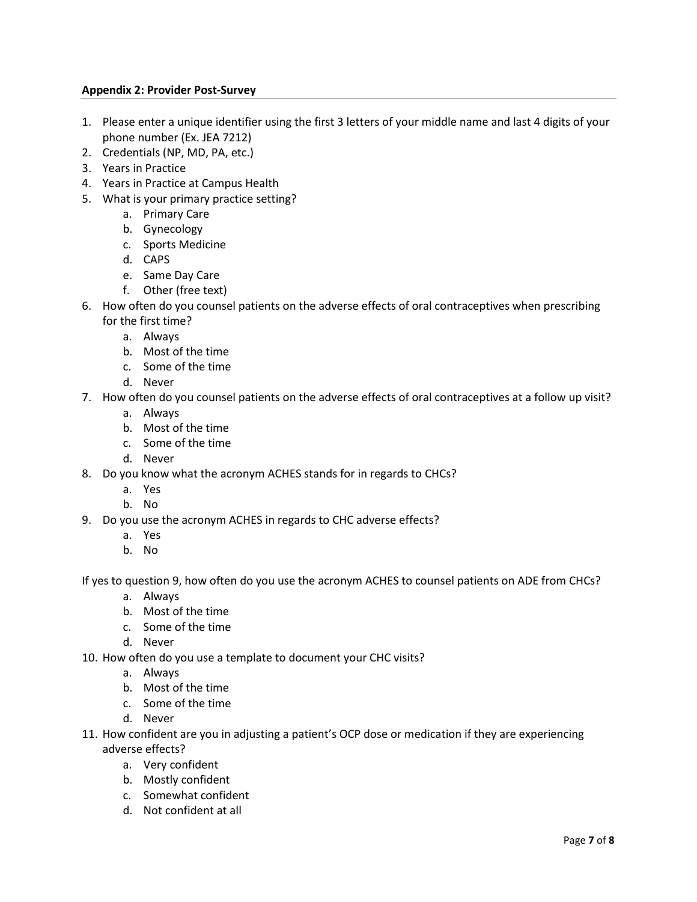# **Appendix 2: Provider Post-Survey**

- 1. Please enter a unique identifier using the first 3 letters of your middle name and last 4 digits of your phone number (Ex. JEA 7212)
- 2. Credentials (NP, MD, PA, etc.)
- 3. Years in Practice
- 4. Years in Practice at Campus Health
- 5. What is your primary practice setting?
	- a. Primary Care
	- b. Gynecology
	- c. Sports Medicine
	- d. CAPS
	- e. Same Day Care
	- f. Other (free text)
- 6. How often do you counsel patients on the adverse effects of oral contraceptives when prescribing for the first time?
	- a. Always
	- b. Most of the time
	- c. Some of the time
	- d. Never
- 7. How often do you counsel patients on the adverse effects of oral contraceptives at a follow up visit?
	- a. Always
	- b. Most of the time
	- c. Some of the time
	- d. Never
- 8. Do you know what the acronym ACHES stands for in regards to CHCs?
	- a. Yes
	- b. No
- 9. Do you use the acronym ACHES in regards to CHC adverse effects?
	- a. Yes
	- b. No

If yes to question 9, how often do you use the acronym ACHES to counsel patients on ADE from CHCs?

- a. Always
- b. Most of the time
- c. Some of the time
- d. Never
- 10. How often do you use a template to document your CHC visits?
	- a. Always
	- b. Most of the time
	- c. Some of the time
	- d. Never
- 11. How confident are you in adjusting a patient's OCP dose or medication if they are experiencing adverse effects?
	- a. Very confident
	- b. Mostly confident
	- c. Somewhat confident
	- d. Not confident at all